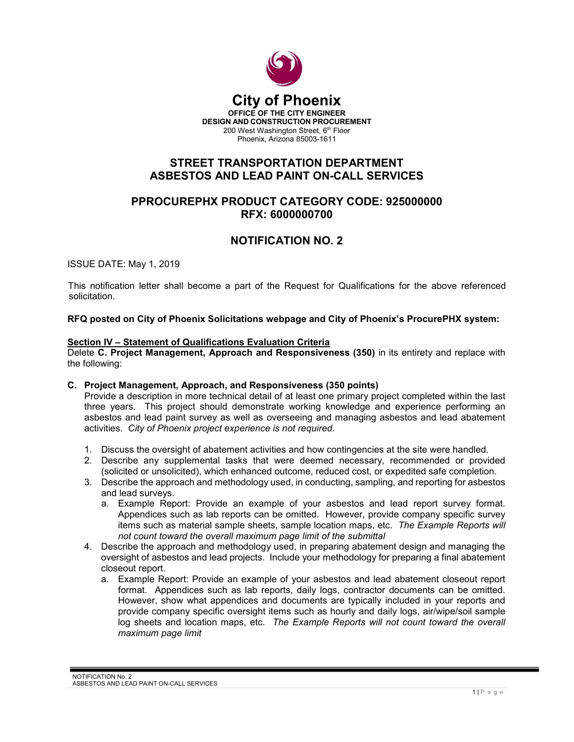

# **STREET TRANSPORTATION DEPARTMENT ASBESTOS AND LEAD PAINT ON-CALL SERVICES**

### **PPROCUREPHX PRODUCT CATEGORY CODE: 925000000 RFX: 6000000700**

# **NOTIFICATION NO. 2**

ISSUE DATE: May 1, 2019

This notification letter shall become a part of the Request for Qualifications for the above referenced solicitation.

**RFQ posted on City of Phoenix Solicitations webpage and City of Phoenix's ProcurePHX system:**

#### **Section IV – Statement of Qualifications Evaluation Criteria**

Delete **C. Project Management, Approach and Responsiveness (350)** in its entirety and replace with the following:

#### **C. Project Management, Approach, and Responsiveness (350 points)**

Provide a description in more technical detail of at least one primary project completed within the last three years. This project should demonstrate working knowledge and experience performing an asbestos and lead paint survey as well as overseeing and managing asbestos and lead abatement activities. *City of Phoenix project experience is not required.*

- 1. Discuss the oversight of abatement activities and how contingencies at the site were handled.
- 2. Describe any supplemental tasks that were deemed necessary, recommended or provided (solicited or unsolicited), which enhanced outcome, reduced cost, or expedited safe completion.
- 3. Describe the approach and methodology used, in conducting, sampling, and reporting for asbestos and lead surveys.
	- a. Example Report: Provide an example of your asbestos and lead report survey format. Appendices such as lab reports can be omitted. However, provide company specific survey items such as material sample sheets, sample location maps, etc. *The Example Reports will not count toward the overall maximum page limit of the submittal*
- 4. Describe the approach and methodology used, in preparing abatement design and managing the oversight of asbestos and lead projects. Include your methodology for preparing a final abatement closeout report.
	- a. Example Report: Provide an example of your asbestos and lead abatement closeout report format. Appendices such as lab reports, daily logs, contractor documents can be omitted. However, show what appendices and documents are typically included in your reports and provide company specific oversight items such as hourly and daily logs, air/wipe/soil sample log sheets and location maps, etc. *The Example Reports will not count toward the overall maximum page limit*